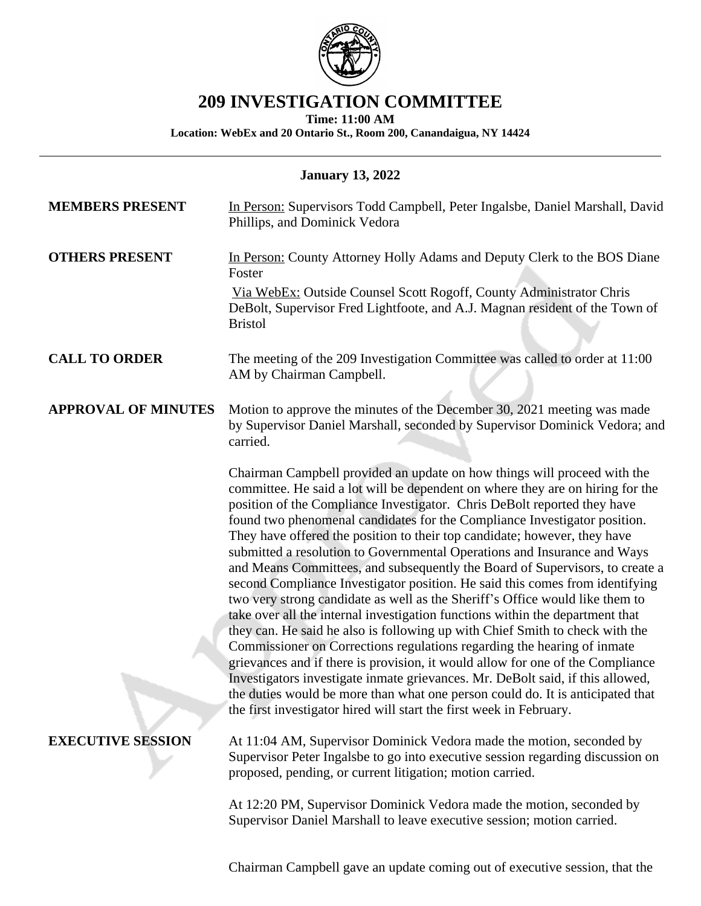

## **209 INVESTIGATION COMMITTEE**

**Time: 11:00 AM**

**Location: WebEx and 20 Ontario St., Room 200, Canandaigua, NY 14424**

| <b>January 13, 2022</b>    |                                                                                                                                                                                                                                                                                                                                                                                                                                                                                                                                                                                                                                                                                                                                                                                                                                                                                                                                                                                                                                                                                                                                                                                                                                                                                                                                                                                                                                                                            |
|----------------------------|----------------------------------------------------------------------------------------------------------------------------------------------------------------------------------------------------------------------------------------------------------------------------------------------------------------------------------------------------------------------------------------------------------------------------------------------------------------------------------------------------------------------------------------------------------------------------------------------------------------------------------------------------------------------------------------------------------------------------------------------------------------------------------------------------------------------------------------------------------------------------------------------------------------------------------------------------------------------------------------------------------------------------------------------------------------------------------------------------------------------------------------------------------------------------------------------------------------------------------------------------------------------------------------------------------------------------------------------------------------------------------------------------------------------------------------------------------------------------|
| <b>MEMBERS PRESENT</b>     | In Person: Supervisors Todd Campbell, Peter Ingalsbe, Daniel Marshall, David<br>Phillips, and Dominick Vedora                                                                                                                                                                                                                                                                                                                                                                                                                                                                                                                                                                                                                                                                                                                                                                                                                                                                                                                                                                                                                                                                                                                                                                                                                                                                                                                                                              |
| <b>OTHERS PRESENT</b>      | In Person: County Attorney Holly Adams and Deputy Clerk to the BOS Diane<br>Foster<br>Via WebEx: Outside Counsel Scott Rogoff, County Administrator Chris<br>DeBolt, Supervisor Fred Lightfoote, and A.J. Magnan resident of the Town of<br><b>Bristol</b>                                                                                                                                                                                                                                                                                                                                                                                                                                                                                                                                                                                                                                                                                                                                                                                                                                                                                                                                                                                                                                                                                                                                                                                                                 |
| <b>CALL TO ORDER</b>       | The meeting of the 209 Investigation Committee was called to order at 11:00<br>AM by Chairman Campbell.                                                                                                                                                                                                                                                                                                                                                                                                                                                                                                                                                                                                                                                                                                                                                                                                                                                                                                                                                                                                                                                                                                                                                                                                                                                                                                                                                                    |
| <b>APPROVAL OF MINUTES</b> | Motion to approve the minutes of the December 30, 2021 meeting was made<br>by Supervisor Daniel Marshall, seconded by Supervisor Dominick Vedora; and<br>carried.<br>Chairman Campbell provided an update on how things will proceed with the<br>committee. He said a lot will be dependent on where they are on hiring for the<br>position of the Compliance Investigator. Chris DeBolt reported they have<br>found two phenomenal candidates for the Compliance Investigator position.<br>They have offered the position to their top candidate; however, they have<br>submitted a resolution to Governmental Operations and Insurance and Ways<br>and Means Committees, and subsequently the Board of Supervisors, to create a<br>second Compliance Investigator position. He said this comes from identifying<br>two very strong candidate as well as the Sheriff's Office would like them to<br>take over all the internal investigation functions within the department that<br>they can. He said he also is following up with Chief Smith to check with the<br>Commissioner on Corrections regulations regarding the hearing of inmate<br>grievances and if there is provision, it would allow for one of the Compliance<br>Investigators investigate inmate grievances. Mr. DeBolt said, if this allowed,<br>the duties would be more than what one person could do. It is anticipated that<br>the first investigator hired will start the first week in February. |
| <b>EXECUTIVE SESSION</b>   | At 11:04 AM, Supervisor Dominick Vedora made the motion, seconded by<br>Supervisor Peter Ingalsbe to go into executive session regarding discussion on<br>proposed, pending, or current litigation; motion carried.                                                                                                                                                                                                                                                                                                                                                                                                                                                                                                                                                                                                                                                                                                                                                                                                                                                                                                                                                                                                                                                                                                                                                                                                                                                        |
|                            | At 12:20 PM, Supervisor Dominick Vedora made the motion, seconded by<br>Supervisor Daniel Marshall to leave executive session; motion carried.                                                                                                                                                                                                                                                                                                                                                                                                                                                                                                                                                                                                                                                                                                                                                                                                                                                                                                                                                                                                                                                                                                                                                                                                                                                                                                                             |

Chairman Campbell gave an update coming out of executive session, that the